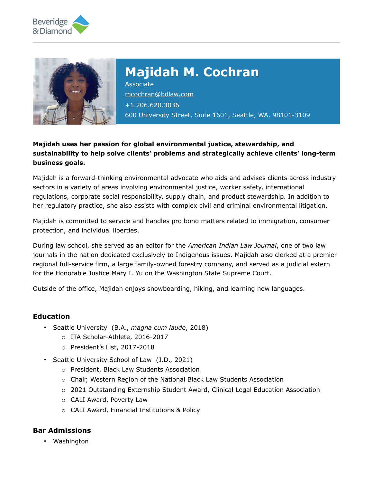



# **Majidah M. Cochran**

Associate [mcochran@bdlaw.com](mailto:mcochran@bdlaw.com) +1.206.620.3036 600 University Street, Suite 1601, Seattle, WA, 98101-3109

# **Majidah uses her passion for global environmental justice, stewardship, and sustainability to help solve clients' problems and strategically achieve clients' long-term business goals.**

Majidah is a forward-thinking environmental advocate who aids and advises clients across industry sectors in a variety of areas involving environmental justice, worker safety, international regulations, corporate social responsibility, supply chain, and product stewardship. In addition to her regulatory practice, she also assists with complex civil and criminal environmental litigation.

Majidah is committed to service and handles pro bono matters related to immigration, consumer protection, and individual liberties.

During law school, she served as an editor for the *American Indian Law Journal*, one of two law journals in the nation dedicated exclusively to Indigenous issues. Majidah also clerked at a premier regional full-service firm, a large family-owned forestry company, and served as a judicial extern for the Honorable Justice Mary I. Yu on the Washington State Supreme Court.

Outside of the office, Majidah enjoys snowboarding, hiking, and learning new languages.

# **Education**

- Seattle University (B.A., *magna cum laude*, 2018)
	- o ITA Scholar-Athlete, 2016-2017
	- o President's List, 2017-2018
- Seattle University School of Law (J.D., 2021)
	- o President, Black Law Students Association
	- o Chair, Western Region of the National Black Law Students Association
	- o 2021 Outstanding Externship Student Award, Clinical Legal Education Association
	- o CALI Award, Poverty Law
	- o CALI Award, Financial Institutions & Policy

# **Bar Admissions**

• Washington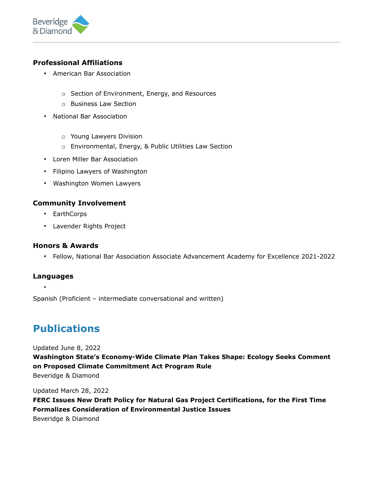

# **Professional Affiliations**

- American Bar Association
	- o Section of Environment, Energy, and Resources
	- o Business Law Section
- National Bar Association
	- o Young Lawyers Division
	- o Environmental, Energy, & Public Utilities Law Section
- Loren Miller Bar Association
- Filipino Lawyers of Washington
- Washington Women Lawyers

# **Community Involvement**

- EarthCorps
- Lavender Rights Project

# **Honors & Awards**

• Fellow, National Bar Association Associate Advancement Academy for Excellence 2021-2022

# **Languages**

•

Spanish (Proficient – intermediate conversational and written)

# **Publications**

Updated June 8, 2022

**Washington State's Economy-Wide Climate Plan Takes Shape: Ecology Seeks Comment on Proposed Climate Commitment Act Program Rule** Beveridge & Diamond

Updated March 28, 2022

**FERC Issues New Draft Policy for Natural Gas Project Certifications, for the First Time Formalizes Consideration of Environmental Justice Issues** Beveridge & Diamond